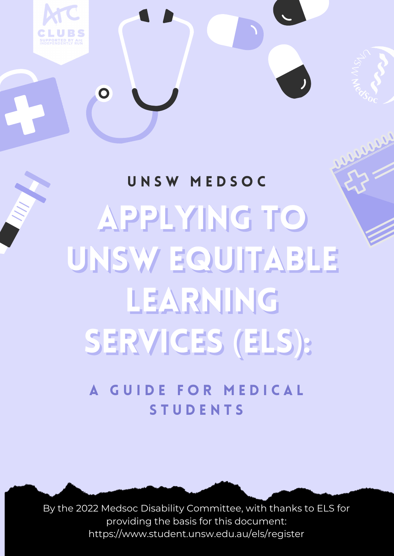

 $\overline{\mathbf{O}}$ 

# UNSW MEDSOC APPLYING TO UNSW EQUITABLE LEARNING SERVICES (ELS):

A GUIDE FOR MEDICAL S T U D E N T S

By the 2022 Medsoc Disability Committee, with thanks to ELS for providing the basis for this document: https://www.student.unsw.edu.au/els/register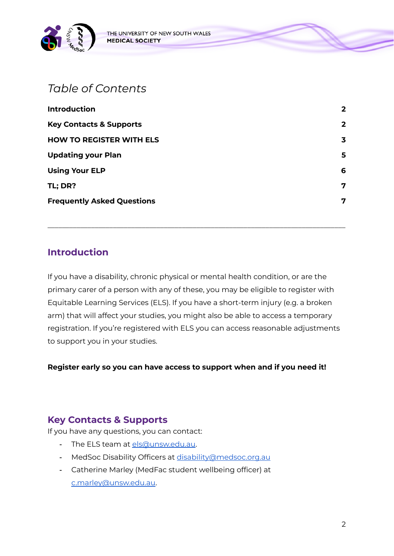

## *Table of Contents*

| <b>Introduction</b>                | $\mathbf{2}$ |
|------------------------------------|--------------|
| <b>Key Contacts &amp; Supports</b> | $\mathbf{2}$ |
| <b>HOW TO REGISTER WITH ELS</b>    | 3            |
| <b>Updating your Plan</b>          | 5            |
| <b>Using Your ELP</b>              | 6            |
| TL; DR?                            | 7            |
| <b>Frequently Asked Questions</b>  | 7            |

\_\_\_\_\_\_\_\_\_\_\_\_\_\_\_\_\_\_\_\_\_\_\_\_\_\_\_\_\_\_\_\_\_\_\_\_\_\_\_\_\_\_\_\_\_\_\_\_\_\_\_\_\_\_\_\_\_\_\_\_\_\_\_\_\_\_\_\_\_\_\_\_\_\_\_\_\_\_\_\_\_\_

## <span id="page-1-0"></span>**Introduction**

If you have a disability, chronic physical or mental health condition, or are the primary carer of a person with any of these, you may be eligible to register with Equitable Learning Services (ELS). If you have a short-term injury (e.g. a broken arm) that will affect your studies, you might also be able to access a temporary registration. If you're registered with ELS you can access reasonable adjustments to support you in your studies.

**Register early so you can have access to support when and if you need it!**

## <span id="page-1-1"></span>**Key Contacts & Supports**

If you have any questions, you can contact:

- The ELS team at [els@unsw.edu.au.](mailto:els@unsw.edu.au)
- MedSoc Disability Officers at [disability@medsoc.org.au](mailto:disability@medsoc.org.au)
- Catherine Marley (MedFac student wellbeing officer) at [c.marley@unsw.edu.au](mailto:c.marley@unsw.edu.au).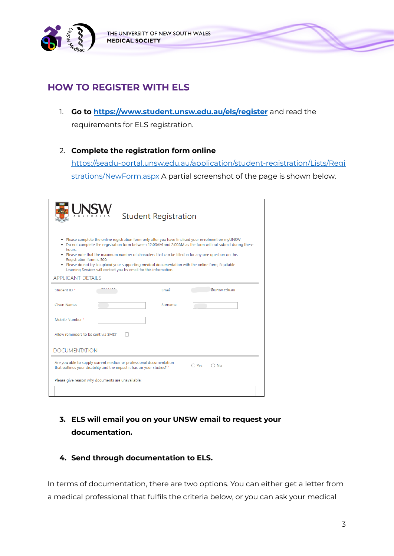

## <span id="page-2-0"></span>**HOW TO REGISTER WITH ELS**

- 1. **Go to <https://www.student.unsw.edu.au/els/register>** and read the requirements for ELS registration.
- 2. **Complete the registration form online**

[https://seadu-portal.unsw.edu.au/application/student-registration/Lists/Regi](https://seadu-portal.unsw.edu.au/application/student-registration/Lists/Registrations/NewForm.aspx) [strations/NewForm.aspx](https://seadu-portal.unsw.edu.au/application/student-registration/Lists/Registrations/NewForm.aspx) A partial screenshot of the page is shown below.

|                                                                                                                                                                                                                                                                                                                                                                                                                                                                                                                                                |  | <b>Student Registration</b> |              |  |
|------------------------------------------------------------------------------------------------------------------------------------------------------------------------------------------------------------------------------------------------------------------------------------------------------------------------------------------------------------------------------------------------------------------------------------------------------------------------------------------------------------------------------------------------|--|-----------------------------|--------------|--|
| Please complete the online registration form only after you have finalised your enrolment on myUNSW.<br>Do not complete the registration form between 12:00AM and 2:00AM as the form will not submit during these<br>hours.<br>. Please note that the maximum number of characters that can be filled in for any one question on this<br>Registration form is 500.<br>. Please do not try to upload your supporting medical documentation with the online form, Equitable<br>Learning Services will contact you by email for this information. |  |                             |              |  |
| <b>APPLICANT DETAILS</b>                                                                                                                                                                                                                                                                                                                                                                                                                                                                                                                       |  |                             |              |  |
| Student ID*                                                                                                                                                                                                                                                                                                                                                                                                                                                                                                                                    |  | Fmail                       | @unsw.edu.au |  |
| <b>Given Names</b>                                                                                                                                                                                                                                                                                                                                                                                                                                                                                                                             |  | Surname                     |              |  |
| Mobile Number*                                                                                                                                                                                                                                                                                                                                                                                                                                                                                                                                 |  |                             |              |  |
| Allow reminders to be sent via SMS?                                                                                                                                                                                                                                                                                                                                                                                                                                                                                                            |  |                             |              |  |
| <b>DOCUMENTATION</b>                                                                                                                                                                                                                                                                                                                                                                                                                                                                                                                           |  |                             |              |  |
| Are you able to supply current medical or professional documentation<br>∩ No<br><b>Yes</b><br>that outlines your disability and the impact it has on your studies? *                                                                                                                                                                                                                                                                                                                                                                           |  |                             |              |  |
| Please give reason why documents are unavailable:                                                                                                                                                                                                                                                                                                                                                                                                                                                                                              |  |                             |              |  |
|                                                                                                                                                                                                                                                                                                                                                                                                                                                                                                                                                |  |                             |              |  |

## **3. ELS will email you on your UNSW email to request your documentation.**

#### **4. Send through documentation to ELS.**

In terms of documentation, there are two options. You can either get a letter from a medical professional that fulfils the criteria below, or you can ask your medical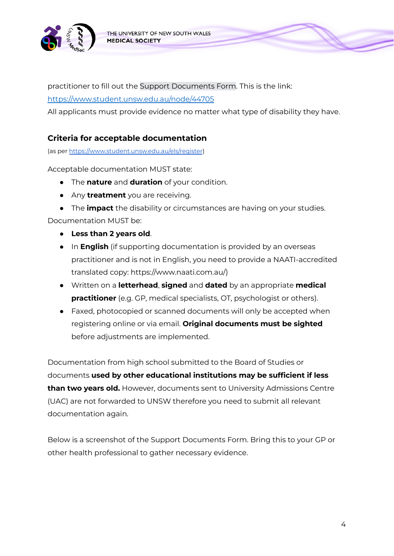

practitioner to fill out the Support [Documents](https://www.student.unsw.edu.au/node/44705) Form. This is the link:

<https://www.student.unsw.edu.au/node/44705>

All applicants must provide evidence no matter what type of disability they have.

#### **Criteria for acceptable documentation**

(as per <https://www.student.unsw.edu.au/els/register>)

Acceptable documentation MUST state:

- The **nature** and **duration** of your condition.
- Any **treatment** you are receiving.
- The **impact** the disability or circumstances are having on your studies.

Documentation MUST be:

- **Less than 2 years old**.
- In **English** (if supporting documentation is provided by an overseas practitioner and is not in English, you need to provide a NAATI-accredited translated copy: <https://www.naati.com.au/>)
- Written on a **letterhead**, **signed** and **dated** by an appropriate **medical practitioner** (e.g. GP, medical specialists, OT, psychologist or others).
- Faxed, photocopied or scanned documents will only be accepted when registering online or via email. **Original documents must be sighted** before adjustments are implemented.

Documentation from high school submitted to the Board of Studies or documents **used by other educational institutions may be sufficient if less than two years old.** However, documents sent to University Admissions Centre (UAC) are not forwarded to UNSW therefore you need to submit all relevant documentation again.

Below is a screenshot of the Support Documents Form. Bring this to your GP or other health professional to gather necessary evidence.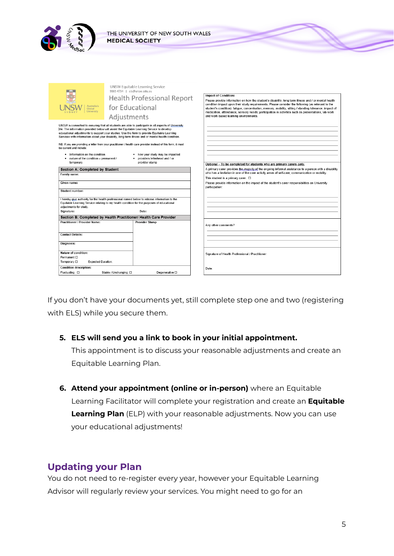

|                                                                                           | UNSW Equitable Learning Service<br>9385 4734   els@unsw.edu.au                                                                                                                                                                                                                                                                                                                                          |                                                                                                                                                                                                                                                                                                                    |
|-------------------------------------------------------------------------------------------|---------------------------------------------------------------------------------------------------------------------------------------------------------------------------------------------------------------------------------------------------------------------------------------------------------------------------------------------------------------------------------------------------------|--------------------------------------------------------------------------------------------------------------------------------------------------------------------------------------------------------------------------------------------------------------------------------------------------------------------|
|                                                                                           | <b>Health Professional Report</b>                                                                                                                                                                                                                                                                                                                                                                       | <b>Impact of Condition:</b><br>Please provide information on how the student's disability, long term illness and / or mental health                                                                                                                                                                                |
| Australia's<br>Global<br>University                                                       | for Educational                                                                                                                                                                                                                                                                                                                                                                                         | condition impact upon their study requirements. Please consider the following (as relevant to the<br>student's condition): fatigue, concentration, memory, mobility, sitting / standing tolerance, impact of<br>medication, attendance, sensory needs; participation in activities such as presentations, lab work |
|                                                                                           | Adjustments                                                                                                                                                                                                                                                                                                                                                                                             | and work-based learning environments.                                                                                                                                                                                                                                                                              |
|                                                                                           | UNSW is committed to ensuring that all students are able to participate in all aspects of University<br>life. The information provided below will assist the Equitable Learning Service to develop<br>educational adjustments to support your studies. Use the form to provide Equitable Learning<br>Services with information about your disability, long term illness and or mental health condition. |                                                                                                                                                                                                                                                                                                                    |
| be current and include:                                                                   | NB: If you are providing a letter from your practitioner / health care provider instead of this form, it must                                                                                                                                                                                                                                                                                           |                                                                                                                                                                                                                                                                                                                    |
| • Information on the condition<br>nature of the condition - permanent /<br>٠<br>temporary | • how your study may be impacted<br>providers letterhead and / or<br>provider stamp                                                                                                                                                                                                                                                                                                                     |                                                                                                                                                                                                                                                                                                                    |
| Section A: Completed by Student                                                           |                                                                                                                                                                                                                                                                                                                                                                                                         | Optional – To be completed for students who are primary carers only.<br>A primary carer provides the majority of the ongoing informal assistance to a person with a disability                                                                                                                                     |
| Family name:                                                                              |                                                                                                                                                                                                                                                                                                                                                                                                         | who has a limitation in one of the core activity areas of self-care, communication or mobility.                                                                                                                                                                                                                    |
|                                                                                           |                                                                                                                                                                                                                                                                                                                                                                                                         | This student is a primary carer. $\square$                                                                                                                                                                                                                                                                         |
| Given name:                                                                               |                                                                                                                                                                                                                                                                                                                                                                                                         | Please provide information on the impact of the student's carer responsibilities on University<br>participation:                                                                                                                                                                                                   |
| Student number:                                                                           |                                                                                                                                                                                                                                                                                                                                                                                                         |                                                                                                                                                                                                                                                                                                                    |
| adjustments for study.                                                                    | I hereby give authority for the health professional named below to release information to the<br>Equitable Learning Service relating to my health condition for the purposes of educational                                                                                                                                                                                                             |                                                                                                                                                                                                                                                                                                                    |
| Signature:                                                                                | Date:                                                                                                                                                                                                                                                                                                                                                                                                   |                                                                                                                                                                                                                                                                                                                    |
|                                                                                           | Section B: Completed by Health Practitioner/ Health Care Provider                                                                                                                                                                                                                                                                                                                                       |                                                                                                                                                                                                                                                                                                                    |
| <b>Practitioner / Provider Name:</b>                                                      | <b>Provider Stamp</b>                                                                                                                                                                                                                                                                                                                                                                                   | Any other comments?                                                                                                                                                                                                                                                                                                |
| <b>Contact Details:</b>                                                                   |                                                                                                                                                                                                                                                                                                                                                                                                         |                                                                                                                                                                                                                                                                                                                    |
| Diagnosis:                                                                                |                                                                                                                                                                                                                                                                                                                                                                                                         |                                                                                                                                                                                                                                                                                                                    |
| Nature of condition:<br>Permanent O                                                       |                                                                                                                                                                                                                                                                                                                                                                                                         | Signature of Health Professional / Practitioner:                                                                                                                                                                                                                                                                   |
| Temporary □<br><b>Expected Duration:</b>                                                  |                                                                                                                                                                                                                                                                                                                                                                                                         |                                                                                                                                                                                                                                                                                                                    |
| <b>Condition description:</b>                                                             |                                                                                                                                                                                                                                                                                                                                                                                                         | Date:                                                                                                                                                                                                                                                                                                              |
| Fluctuating $\square$                                                                     | Stable / Unchanging $\Box$<br>Degenerative $\square$                                                                                                                                                                                                                                                                                                                                                    |                                                                                                                                                                                                                                                                                                                    |
|                                                                                           |                                                                                                                                                                                                                                                                                                                                                                                                         |                                                                                                                                                                                                                                                                                                                    |

If you don't have your documents yet, still complete step one and two (registering with ELS) while you secure them.

#### **5. ELS will send you a link to book in your initial appointment.**

This appointment is to discuss your reasonable adjustments and create an Equitable Learning Plan.

**6. Attend your appointment (online or in-person)** where an Equitable Learning Facilitator will complete your registration and create an **Equitable Learning Plan** (ELP) with your reasonable adjustments. Now you can use your educational adjustments!

## <span id="page-4-0"></span>**Updating your Plan**

You do not need to re-register every year, however your Equitable Learning Advisor will regularly review your services. You might need to go for an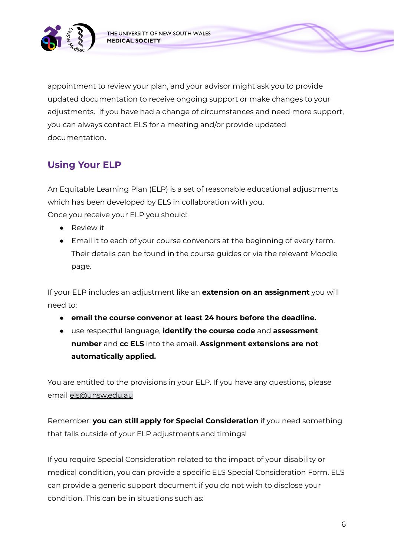

appointment to review your plan, and your advisor might ask you to provide updated documentation to receive ongoing support or make changes to your adjustments. If you have had a change of circumstances and need more support, you can always contact ELS for a meeting and/or provide updated documentation.

## <span id="page-5-0"></span>**Using Your ELP**

An Equitable Learning Plan (ELP) is a set of reasonable educational adjustments which has been developed by ELS in collaboration with you. Once you receive your ELP you should:

- Review it
- Email it to each of your course convenors at the beginning of every term. Their details can be found in the course guides or via the relevant Moodle page.

If your ELP includes an adjustment like an **extension on an assignment** you will need to:

- **● email the course convenor at least 24 hours before the deadline.**
- use respectful language, **identify the course code** and **assessment number** and **cc ELS** into the email. **Assignment extensions are not automatically applied.**

You are entitled to the provisions in your ELP. If you have any questions, please email [els@unsw.edu.au](mailto:els@unsw.edu.au)

Remember: **you can still apply for Special Consideration** if you need something that falls outside of your ELP adjustments and timings!

If you require Special Consideration related to the impact of your disability or medical condition, you can provide a specific ELS Special Consideration Form. ELS can provide a generic support document if you do not wish to disclose your condition. This can be in situations such as: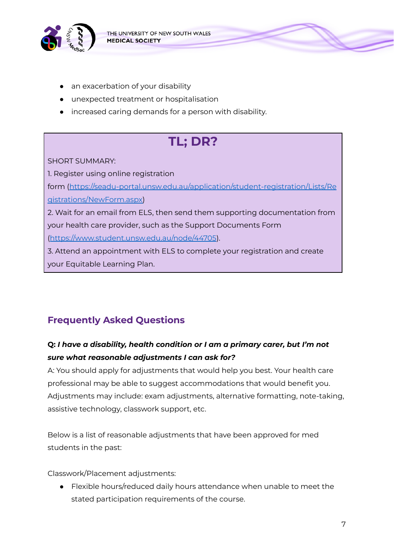

- an exacerbation of your disability
- unexpected treatment or hospitalisation
- increased caring demands for a person with disability.

## **TL; DR?**

<span id="page-6-0"></span>SHORT SUMMARY:

1. Register using online registration

form [\(https://seadu-portal.unsw.edu.au/application/student-registration/Lists/Re](https://seadu-portal.unsw.edu.au/application/student-registration/Lists/Registrations/NewForm.aspx) [gistrations/NewForm.aspx\)](https://seadu-portal.unsw.edu.au/application/student-registration/Lists/Registrations/NewForm.aspx)

2. Wait for an email from ELS, then send them supporting documentation from your health care provider, such as the Support Documents Form (<https://www.student.unsw.edu.au/node/44705>).

3. Attend an appointment with ELS to complete your registration and create your Equitable Learning Plan.

## <span id="page-6-1"></span>**Frequently Asked Questions**

## **Q:** *I have a disability, health condition or I am a primary carer, but I'm not sure what reasonable adjustments I can ask for?*

A: You should apply for adjustments that would help you best. Your health care professional may be able to suggest accommodations that would benefit you. Adjustments may include: exam adjustments, alternative formatting, note-taking, assistive technology, classwork support, etc.

Below is a list of reasonable adjustments that have been approved for med students in the past:

Classwork/Placement adjustments:

● Flexible hours/reduced daily hours attendance when unable to meet the stated participation requirements of the course.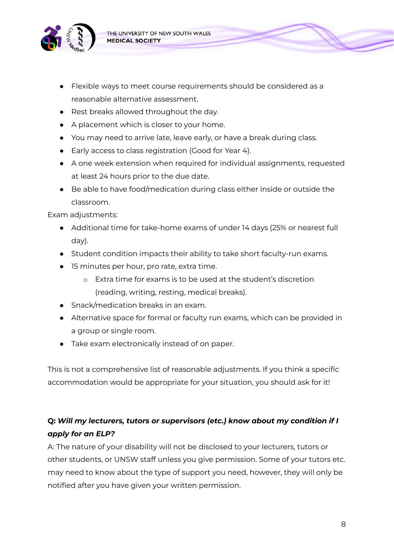

- Flexible ways to meet course requirements should be considered as a reasonable alternative assessment.
- Rest breaks allowed throughout the day.
- A placement which is closer to your home.
- You may need to arrive late, leave early, or have a break during class.
- Early access to class registration (Good for Year 4).
- A one week extension when required for individual assignments, requested at least 24 hours prior to the due date.
- Be able to have food/medication during class either inside or outside the classroom.

Exam adjustments:

- Additional time for take-home exams of under 14 days (25% or nearest full day).
- Student condition impacts their ability to take short faculty-run exams.
- 15 minutes per hour, pro rate, extra time.
	- o Extra time for exams is to be used at the student's discretion (reading, writing, resting, medical breaks).
- Snack/medication breaks in an exam.
- Alternative space for formal or faculty run exams, which can be provided in a group or single room.
- Take exam electronically instead of on paper.

This is not a comprehensive list of reasonable adjustments. If you think a specific accommodation would be appropriate for your situation, you should ask for it!

## **Q:** *Will my lecturers, tutors or supervisors (etc.) know about my condition if I apply for an ELP?*

A: The nature of your disability will not be disclosed to your lecturers, tutors or other students, or UNSW staff unless you give permission. Some of your tutors etc. may need to know about the type of support you need, however, they will only be notified after you have given your written permission.